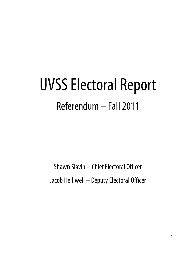# UVSS Electoral Report Referendum – Fall 2011

Shawn Slavin – Chief Electoral Officer Jacob Helliwell – Deputy Electoral Officer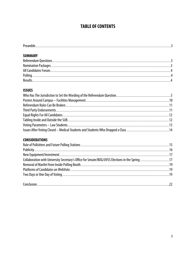# **TABLE OF CONTENTS**

| - |  |
|---|--|
|   |  |

## **SUMMARY**

| All Candidates Forum. |  |
|-----------------------|--|
| Polling               |  |
| Result                |  |

#### **ISSUES**

### **CONSIDERATIONS**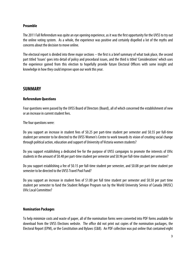#### **Preamble**

The 2011 Fall Referendum was quite an eye opening experience, as it was the first opportunity for the UVSS to try out the online voting system. As a whole, the experience was positive and certainly dispelled a lot of the myths and concerns about the decision to move online.

The electoral report is divided into three major sections – the first is a brief summary of what took place, the second part titled 'Issues' goes into detail of policy and procedural issues, and the third is titled 'Considerations' which uses the experience gained from this election to hopefully provide future Electoral Officers with some insight and knowledge in how they could improve upon our work this year.

## **SUMMARY**

#### **Referendum Questions**

Four questions were passed by the UVSS Board of Directors (Board), all of which concerned the establishment of new or an increase in current student fees.

The four questions were:

Do you support an increase in student fees of \$0.25 per part-time student per semester and \$0.55 per full-time student per semester to be directed to the UVSS Women's Centre to work towards its vision of creating social change through political action, education and support of University of Victoria women students?

Do you support establishing a dedicated fee for the purpose of UVSS campaigns to promote the interests of UVic students in the amount of \$0.48 per part-time student per semester and \$0.96 per full-time student per semester?

Do you support establishing a fee of \$0.15 per full-time student per semester, and \$0.08 per part-time student per semester to be directed to the UVSS Travel Pool Fund?

Do you support an increase in student fees of \$1.00 per full time student per semester and \$0.50 per part time student per semester to fund the Student Refugee Program run by the World University Service of Canada (WUSC) UVic Local Committee?

#### **Nomination Packages**

To help minimize costs and waste of paper, all of the nomination forms were converted into PDF forms available for download from the UVSS Elections website. The office did not print out copies of the nomination packages, the Electoral Report (EPM), or the Constitution and Bylaws (C&B). An PDF collection was put online that contained eight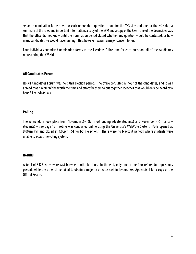separate nomination forms (two for each referendum question – one for the YES side and one for the NO side), a summary of the rules and important information, a copy of the EPM and a copy of the C&B. One of the downsides was that the office did not know until the nomination period closed whether any question would be contested, or how many candidates we would have running. This, however, wasn't a major concern for us.

Four individuals submitted nomination forms to the Elections Office, one for each question, all of the candidates representing the YES side.

#### **All Candidates Forum**

No All Candidates Forum was held this election period. The office consulted all four of the candidates, and it was agreed that it wouldn't be worth the time and effort for them to put together speeches that would only be heard by a handful of individuals.

#### **Polling**

The referendum took place from November 2-4 (for most undergraduate students) and November 4-6 (for Law students) – see page 13. Voting was conducted online using the University's WebVote System. Polls opened at 9:00am PST and closed at 4:00pm PST for both elections. There were no blackout periods where students were unable to access the voting system.

#### **Results**

A total of 3425 votes were cast between both elections. In the end, only one of the four referendum questions passed, while the other three failed to obtain a majority of votes cast in favour. See Appendix 1 for a copy of the Official Results.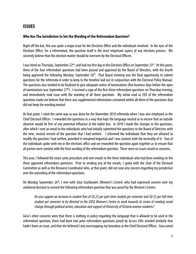# **ISSUES**

#### **Who Has The Jurisdiction to Set the Wording of the Referendum Question?**

Right off the bat, this was quite a major issue for the Elections Office and the individuals involved. In the eyes of the Elections Office, for a referendum, the question itself is the most important aspect of any elections process. We sincerely believe that this election matter should be overseen by the Electoral Officers.

I was hired on Thursday, September 22<sup>nd</sup>, and had my first day in the Elections Office on September 23<sup>rd</sup>. At this point, three of the four referendum questions had been passed and approved by the Board of Directors, with the fourth being approved the following Monday, September 26<sup>th</sup>. That Board meeting was the final opportunity to submit questions for the referenda in order to keep to the timeline laid out in conjunction with the Electoral Policy Manual. The questions also needed to be finalized to give adequate notice of nominations (five business days before the open of nominations was September  $27<sup>th</sup>$ ). I received a copy of the first three referendum questions on Thursday evening, and immediately took issue with the wording of all three questions. My initial read as CEO of the referendum questions made me believe that there was supplemental information contained within all three of the questions that did not keep the wording neutral.

At that point, I ruled the same way as was done for the November 2010 referenda when I was also employed as the Chief Electoral Officer. I reworded the questions in a way that kept the language neutral as to ensure that an outside observer would be free of any potential influence at the ballot box. In 2010 I made the changes to the questions, after which I sent an email to the individuals who had initially submitted the questions to the Board of Directors with the new, neutral version of the question that I had written. I informed the individuals that they are allowed to modify the question I had written, provided it remained impartial and I was content with the neutrality of it. Two of the individuals spoke with me in the elections office and we reworded the question again together as to ensure that all parties were content with the final wording of the referendum question. There were no issues raised or concerns.

This year, I followed the exact same procedure and sent emails to the three individuals who had been working on the three approved referendum questions. Prior to sending any of the emails, I spoke with the chair of the Electoral Committee as well as the Resource Coordinator who, at that point, did not raise any concern regarding my jurisdiction over the rewording of the referendum questions.

On Monday September 26<sup>th</sup>, I met with Gina Starblanket (Women's Centre) who had expressed concern over my unilateral decision to reword the following referendum question that was posed by the Women's Centre:

Do you support an increase in student fees of \$0.25 per part-time student per semester and \$0.55 per full-time student per semester to be directed to the UVSS Women's Centre to work towards its vision of creating social change through political action, education and support of University of Victoria women students?

Gina's other concerns were that there is nothing in policy regarding the language that is allowed to be used in the referendum question, there had been two prior referendum questions posed by Access UVic worded similarly that hadn't been an issue, and that she believed I was overstepping my boundary as the Chief Electoral Officer. Gina noted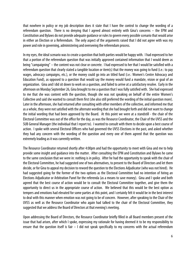that nowhere in policy or my job description does it state that I have the control to change the wording of a referendum question. There is no denying that I agreed almost entirely with Gina's concerns – the EPM and Constitution and Bylaws do not provide adequate guidance or rules to govern every possible scenario that would arise in either an Election or a Referendum. The only aspect of the arguments raised that I did not agree with was my power and role in governing, administering and overseeing the referendum process.

In my eyes, the ideal scenario was to create a question that both parties would be happy with. I had expressed to her that a portion of the referendum question that was initially approved contained information that I would deem as being "campaigning" – the content was not clear or concrete. I had expressed to her that I would be satisfied with a referendum question that clearly stated a tangible location or item(s) that the money was going to fund (i.e.: to pay wages, advocacy campaigns, etc.), or the money could go into an titled fund (i.e.: Women's Centre Advocacy and Education Fund), as opposed to a question that would say the money would fund a mandate, vision or goal of an organization. Gina and I did sit down to work on a question, and failed to arrive at a satisfactory resolve. Early in the afternoon on Monday September 26, Gina brought to me a question that I was fully satisfied with. She had expressed to me that she was content with the question, though she was not speaking on behalf of the entire Women's Collective and said she wanted to consult them first (she also still preferred the wording of the initial question more). Later in the afternoon, she had returned after consulting with other members of the collective, and informed me that as a whole, they were not satisfied with the alternate wording that she had brought forth and did not want to change the initial wording that had been approved by the Board. At this point we were at a standstill - the chair of the Electoral Committee was out of the office for the day, as was the Resource Coordinator, the Chair of the UVSS and the SUB General Manager (the individual that I report to). I wanted to consult with them to decide upon a best course of action. I spoke with several Electoral Officers who had governed the UVSS Elections in the past, and asked whether they had any concern with the wording of the question and every one of them agreed that the question was extremely leading as it was currently written.

The Resource Coordinator returned shortly after 4:00pm and had the opportunity to meet with Gina and me to help provide some insight and guidance into the matter. After consulting the EPM and Constitution and Bylaws he came to the same conclusion that we were in: nothing is in policy. After he had the opportunity to speak with the chair of the Electoral Committee, he had suggested one of two alternatives, to present to the Board of Directors and let them decide, or for Gina to appeal my decision to reword the question to the Elections Adjudicator (who was not hired). He had suggested going for the former of the two options as the Electoral Committee had no intention of hiring an Elections Adjudicator or Arbitration Panel for the referenda (as a means to save money). Gina and I spoke and both agreed that the best course of action would be to consult the Electoral Committee together, and give them the opportunity to direct us in the appropriate course of action. We believed that this would be the best option as tempers and emotions had elevated for some parties at this point, and I certainly felt it would be in the best interest to deal with this manner when emotion was not going to be of concern. However, after speaking to the Chair of the UVSS as well as the Resource Coordinator who again had talked to the chair of the Electoral Committee, they suggested that we address the Board of Directors at that evening's meeting.

Upon addressing the Board of Directors, the Resource Coordinator briefly filled in all Board members present of the issue that had arisen, after which I spoke, expressing my rationale for having deemed it to be my responsibility to ensure that the question itself is fair – I did not speak specifically to my concerns with the actual referendum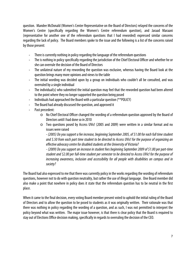question. Mandee McDonald (Women's Center Representative on the Board of Directors) relayed the concerns of the Women's Centre (specifically regarding the Women's Centre referendum question), and Jaraad Maraani (representative for another one of the referendum questions that I had reworded) expressed similar concerns regarding the lack of policy. The Board members spoke to the issue and the following is a list of the concerns raised by those present:

- ‐ There is currently nothing in policy regarding the language of the referendum questions
- ‐ The is nothing in policy specifically regarding the jurisdiction of the Chief Electoral Officer and whether he or she can overrule the decision of the Board of Directors
- ‐ The unilateral nature of my rewording the question was exclusive, whereas having the Board look at the question brings many more opinions and views to the table
- ‐ The initial wording was decided upon by a group on individuals who couldn't all be consulted, and was overruled by a single individual
- ‐ The individual(s) who submitted the initial question may feel that the reworded question had been altered to the point where they no longer supported the question being posed
- ‐ Individuals had approached the Board with a particular question (\*\*POLICY)
- ‐ The Board had already discussed the question, and approved it
- ‐ Past precedent:
	- o No Chief Electoral Officer changed the wording of a referendum question approved by the Board of Directors until I had done so in 2010
	- o Two questions posed by Access UVic! (2005 and 2009) were written in a similar format and no issues were raised

- (2005) Do you support a fee increase, beginning September 2005, of \$1.00 for each full time student and \$.50 from each part time student to be directed to Access UVic! for the purpose of organizing an effective advocacy centre for disabled students at the University of Victoria?

- (2009) Do you support an increase in student fees beginning September 2009 of \$1.00 per part-time student and \$2.00 per full-time student per semester to be directed to Access UVic! for the purpose of increasing awareness, inclusion and accessibility for all people with disabilities on campus and in society?

The Board had also expressed to me that there was currently policy in the works regarding the wording of referendum questions, however not to do with question neutrality, but rather the use of illegal language. One Board member did also make a point that nowhere in policy does it state that the referendum question has to be neutral in the first place.

When it came to the final decision, every voting Board member present voted to uphold the initial ruling of the Board of Directors and to allow the question to be posed to students as it was originally written. Their rationale was that there was nothing in policy regarding the wording of a question, and as such, I was not permitted to interpret the policy beyond what was written. The major issue however, is that there is clear policy that the Board is required to stay out of Elections Office decision making, specifically in regards to overruling the decision of the CEO.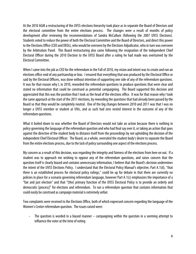At the 2010 AGM a restructuring of the UVSS elections hierarchy took place as to separate the Board of Directors and the electoral committee from the entire elections process. The changes were a result of months of policy development after reviewing the recommendations of Sandra McCallum (following the 2007 UVSS Elections). Students voted to reduce the power of both the Electoral Committee and the Board of Directors, and direct this power to the Elections Office (CEO and DEOs), who would be overseen by the Elections Adjudicator, who in turn was overseen by the Arbitration Panel. This Board restructuring also came following the resignation of the independent Chief Electoral Officer during the 2010 Election to the UVSS Board after a ruling he had made was overturned by the Electoral Committee.

When I came into the job as CEO for the referendum in the Fall of 2010, my vision and intent was to create and run an elections office void of any partisanship or bias. I ensured that everything that was produced by the Electoral Office or said by the Electoral Officers, was done without intention of supporting one side of any of the referendum questions. It was for that reason why I, in 2010, reworded the referendum questions to produce questions that were clear and stated no information that could be construed as potential campaigning. The Board supported this decision and appreciated that this was the position that I took as the head of the elections office. It was for that reason why I took the same approach at the start of the 2011 elections, by rewording the questions that had already been passed by the Board so that they would be completely neutral. One of the big changes between 2010 and 2011 was that I was no longer a UVSS member or student at UVic, and as such had zero vested interest in the outcome of any of the referendum questions.

What it boiled down to was whether the Board of Directors would not take an action because there is nothing in policy governing the language of the referendum question and who had final say over it, or taking an action that goes against the directive of the student body to distance itself from the proceedings by not upholding the decision of the independent Chief Electoral Officer. The Board, as a whole, overruled the student body's desire to separate the Board from the entire elections process, due to the lack of policy surrounding one aspect of the elections process.

My concern as a result of this decision, was regarding the integrity and fairness of the elections from here on out. If a student was to approach me wishing to oppose any of the referendum questions, and raises concern that the question itself is clearly biased and contains unnecessary information, I believe that the Board's decision undermines the intent of the UVSS Elections Policy. I understand that the Electoral Policy Manual's objective, Part A.1(d), "that there is an established process for electoral policy rulings," could be up for debate in that there are currently no policies in place for a scenario governing referendum language, however Part A.1(c) emphasizes the importance of a "fair and just election" and that "[the] primary function of the UVSS Electoral Policy is to provide an orderly and democratic [process]" for elections and referendum. To run a referendum question that contains information that could easily be construed as campaign material is extremely unfair.

Two complaints were received to the Elections Office, both of which expressed concern regarding the language of the Women's Center referendum question. The issues raised were:

The question is worded in a biased manner  $-$  campaigning within the question in a seeming attempt to influence the voter at the time of voting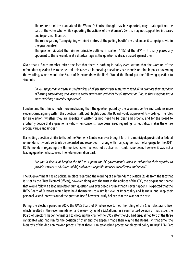- ‐ The reference of the mandate of the Women's Centre, though may be supported, may create guilt on the part of the voter who, while supporting the actions of the Women's Centre, may not support fee increases due to personal finances
- The rule regarding "campaigning within 6 metres of the polling booth" are broken, as it campaigns within the question itself
- The question violated the fairness principle outlined in section A:1(c) of the EPM it clearly places any opponent to the referendum at a disadvantage as the question is already biased against them

Given that a Board member raised the fact that there is nothing in policy even stating that the wording of the referendum question has to be neutral, this raises an interesting question: since there is nothing in policy governing the wording, where would the Board of Directors draw the line? Would the Board put the following question to students:

#### Do you support an increase in student fees of XX per student per semester to fund XX to promote their mandate of hosting entertaining and inclusive social events and activities for all students at UVic, so that everyone has a more enriching university experience?

I understand that this is much more misleading than the question posed by the Women's Centre and contains more evident campaigning within the question itself, but I highly doubt the Board would approve of its wording. The rules for an election, whether they are specifically written or not, need to be clear and orderly, and for the Board to arbitrarily decide that a question is valid when concerns have been raised regarding its neutrality, makes the entire process vague and unclear.

If a leading question similar to that of the Women's Centre was ever brought forth in a municipal, provincial or federal referendum, it would certainly be discarded and reworded. I, along with many, agree that the language for the 2011 BC Referendum regarding the Harmonized Sales Tax was not as clear as it could have been, however it was not a leading question whatsoever. The referendum didn't ask:

Are you in favour of keeping the HST to support the BC government's vision in enhancing their capacity to provide services to all citizens of BC, and to ensure public interests are reflected and served?

The BC government has no policies in place regarding the wording of a referendum question (aside from the fact that it is set by the Chief Electoral Officer), however along with the trust in the abilities of the CEO, the disgust and shame that would follow if a leading referendum question was ever posed ensures that it never happens. I expected that the UVSS Board of Directors would have held themselves to a similar level of impartiality and fairness, and keep their personal vested interests out of the question itself, however I truly believe that this was not the case.

During the election period in 2007, the UVSS Board of Directors overturned the ruling of the Chief Electoral Officer which resulted in the recommendation and review by Sandra McCallum. In a summarized version of that issue, the Board of Directors made the final call to choosing the chair of the UVSS after the CEO had disqualified two of the three candidates who had run for the position of chair and the appeals made their way to the Board. At that time, the hierarchy of the decision making process ("that there is an established process for electoral policy rulings" EPM Part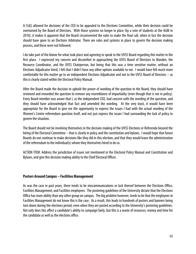A:1(d)) allowed for decisions of the CEO to be appealed to the Elections Committee, while their decision could be overturned by the Board of Directors. With those systems no longer in place (by a vote of students at the AGM in 2010), it makes it apparent that the Board circumvented the rules to make the final call, when in fact the decision should have gone to an Elections Arbitrator. There are rules and systems in place to govern the decision making process, and these were not followed.

I do take part of the blame for what took place and agreeing to speak to the UVSS Board regarding this matter in the first place. I expressed my concern and discomfort in approaching the UVSS Board of Directors to Mandee, the Resource Coordinator, and the UVSS Chairperson, but being that this was a time sensitive matter, without an Elections Adjudicator hired, I felt that I didn't have any other options available to me. I would have felt much more comfortable for this matter go to an independent Elections Adjudicator and not to the UVSS Board of Directors – as this is clearly stated within the Electoral Policy Manual.

After the Board made the decision to uphold the power of wording of the question to the Board, they should have reviewed and reworded the question to remove any resemblance of impartiality (even though that is not in policy). Every Board member was aware that I, as the independent CEO, had concern with the wording of the question, and they should have acknowledged that fact and amended the wording. At the very least, it would have been appropriate for the Board to give me the opportunity to express the issues I had with the actual wording of the Women's Centre referendum question itself, and not just express the issues I had surrounding the lack of policy to govern the situation.

The Board should not be involving themselves in the decision making of the UVSS Elections or Referenda beyond the hiring of the Electoral Committee – that is clearly in policy and the constitution and bylaws. I would hope that future Boards do not continue to make decisions like they did in this election, and that they would leave the administration of the referendum to the individual(s) whom they themselves hired to do so.

ACTION ITEM: Address the jurisdiction of issues not mentioned in the Electoral Policy Manual and Constitution and Bylaws, and give this decision making ability to the Chief Electoral Officer.

#### **Posters Around Campus – Facilities Management**

As was the case in past years, there tends to be miscommunications or lack thereof between the Elections Office, Facilities Management, and Facilities employees. The postering guidelines of the University dictate that the Elections Office has more ability than any other group on campus. The big problem however, tends to be that the employees in Facilities Management do not know this is the case. As a result, this leads to hundreds of posters and banners being torn down during the elections period, even when they are posted according to the University's postering guidelines. Not only does this affect a candidate's ability to campaign fairly, but this is a waste of resources, money and time for the candidate as well as the elections office.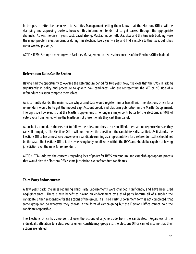In the past a letter has been sent to Facilities Management letting them know that the Elections Office will be stamping and approving posters, however this information tends not to get passed through the appropriate channels. As was the case in years past, David Strong, MacLaurin, Cornett, ECS, ELW and the Fine Arts building were the major problem areas on campus during this election. Every year we try and find a resolve to this issue, but it has never worked properly.

ACTION ITEM: Arrange a meeting with Facilities Management to discuss the concerns of the Elections Office in detail.

#### **Referendum Rules Can Be Broken**

Having had the opportunity to oversee the Referendum period for two years now, it is clear that the UVSS is lacking significantly in policy and procedure to govern how candidates who are representing the YES or NO side of a referendum question compose themselves.

As it currently stands, the main reason why a candidate would register him or herself with the Elections Office for a referendum would be to get the modest Zap! Account credit, and platform publication in the Martlet Supplement. The big issue however, is that the Martlet supplement is no longer a major contributor for the elections, as 90% of voters vote from home, where the Martlet is not present while they cast their ballot.

As such, if a candidate chooses not to follow the rules, and they are disqualified, there are no repercussions as they can still campaign. The Elections Office will not remove the question if the candidate is disqualified. As it stands, the Elections Office has almost zero power over a candidate running as a representative for a referendum...this should not be the case. The Elections Office is the overseeing body for all votes within the UVSS and should be capable of having jurisdiction over the rules for referendum.

ACTION ITEM: Address the concerns regarding lack of policy for UVSS referendum, and establish appropriate process that would give the Elections Office some jurisdiction over referendum candidates.

#### **Third Party Endorsements**

A few years back, the rules regarding Third Party Endorsements were changed significantly, and have been used negligibly since. There is zero benefit to having an endorsement by a third party because all of a sudden the candidate is then responsible for the actions of the group. If a Third Party Endorsement form is not completed, that same group can do whatever they choose in the form of campaigning but the Elections Office cannot hold the candidate responsible.

The Elections Office has zero control over the actions of anyone aside from the candidates. Regardless of the individual's affiliation to a club, course union, constituency group etc. the Elections Office cannot assume that their actions are related.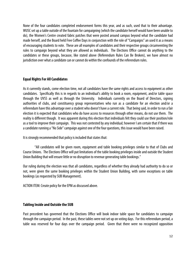None of the four candidates completed endorsement forms this year, and as such, used that to their advantage. WUSC set up a table outside of the fountain for campaigning (which the candidate herself would have been unable to do), the Women's Centre created fabric patches that were posted around campus beyond what the candidate had made herself, and the Board held Free Coffee Days in conjunction with the role of "Campaigns" an used it as a means of encouraging students to vote. These are all examples of candidates and their respective groups circumventing the rules to campaign beyond what they are allowed as individuals. The Elections Office cannot do anything to the candidates or these groups, because, like stated above (Referendum Rules Can Be Broken), we have almost no jurisdiction over what a candidate can or cannot do within the confounds of the referendum rules.

#### **Equal Rights For All Candidates**

As it currently stands, come election time, not all candidates have the same rights and access to equipment as other candidates. Specifically this is in regards to an individual's ability to book a room, equipment, and/or table space through the UVSS as well as through the University. Individuals currently on the Board of Directors, signing authorities of clubs, and constituency group representatives who run as a candidate for an election and/or a referendum have this advantage over a student who doesn't have a current role. That being said, in order to run a fair election it is expected that candidates who do have access to resources through other means, do not use them. The reality is different though. It was apparent during this election that individuals felt they could use their position/role as a tool to improve their campaign. This was not contested by any individual; however I am certain that if there was a candidate running a "No Side" campaign against one of the four questions, this issue would have been raised.

It is strongly recommended that policy is included that states that:

 "All candidates will be given room, equipment and table booking privileges similar to that of Clubs and Course Unions. The Elections Office will put limitations of the table booking privileges inside and outside the Student Union Building that will ensure little or no disruption to revenue generating table bookings."

Our ruling during the election was that all candidates, regardless of whether they already had authority to do so or not, were given the same booking privileges within the Student Union Building, with some exceptions on table bookings (as requested by SUB Management).

ACTION ITEM: Create policy for the EPM as discussed above.

#### **Tabling Inside and Outside the SUB**

Past precedent has governed that the Elections Office will book indoor table space for candidates to campaign through the campaign period. In the past, these tables were not set up on voting days. For this referendum period, a table was reserved for four days over the campaign period. Given that there were no recognized opposition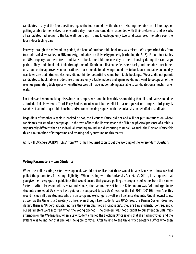candidates to any of the four questions, I gave the four candidates the choice of sharing the table on all four days, or getting a table to themselves for one entire day – only one candidate responded with their preference, and as such, all candidates had access to the table all four days. To my knowledge only two candidates used the table over the four indoor tabling days.

Partway through the referendum period, the issue of outdoor table bookings was raised. We approached this from two points of view: tables on SUB property, and tables on University property (excluding the SUB). For outdoor tables on SUB property, we permitted candidates to book one table for one day of their choosing during the campaign period. They could book this table through the Info Booth on a first come first serve basis, and the table must be set up at one of the approved vendor locations. Our rationale for allowing candidates to book only one table on one day was to ensure that 'Student Elections' did not hinder potential revenue from table bookings. We also did not permit candidates to book tables inside since there are only 5 table indoors and again we did not want to occupy all of the revenue generating table space – nonetheless we still made indoor tabling available to candidates on a much smaller scale.

For tables and room bookings elsewhere on campus, we don't believe this is something that all candidates should be afforded. This is where a Third Party Endorsement would be beneficial – a recognized on campus third party is capable of submitting a table booking and/or room booking request with the university on behalf of a candidate.

Regardless of whether a table is booked or not, the Elections Office did not and will not put limitations on where candidates can stand and campaign. In the eyes of both the University and the SUB, the physical presence of a table is significantly different than an individual standing around and distributing material. As such, the Elections Office felt this is a fair method of interpreting and creating policy surrounding this matter.

ACTION ITEMS: See 'ACTION ITEMS' from 'Who Has The Jurisdiction to Set the Wording of the Referendum Question?'

#### **Voting Parameters – Law Students**

When the online voting system was opened, we did not realize that there would be any issues with how we had pulled the parameters for voting eligibility. When dealing with the University Secretary's Office, it is required that you give them very specific guidelines that would ensure that you are pulling the proper list of voters from the Banner System. After discussion with several individuals, the parameters set for the Referendum was "All undergraduate students enrolled at UVic who have paid or are supposed to pay UVSS fees for the Fall 2011 (201109) term", as this would include all UVic students who are on co-op and exchange, as well as all distance students. Unbeknownst to us, as well as the University Secretary's office, even though Law students pay UVSS fees, the Banner System does not classify them as 'Undergraduates' nor are they even classified as 'Graduates'...they are Law students. Consequently, our parameters were incorrect when the voting opened. The problem was not brought to our attention until midafternoon on the Wednesday, when a Law student emailed the Elections Office saying that she had not voted, and the system was telling her that she was ineligible to vote. After talking to the University Secretary's Office who then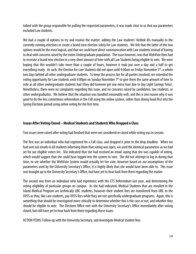talked with the group responsible for pulling the requested parameters, it was made clear to us that our parameters excluded Law students.

We had a couple of options to try and resolve the matter: adding the Law students' Netlink IDs manually to the currently running elections or create a brand new election solely for Law students. We felt that the latter of the two options would be the most logical, and that we could have direct communication with Law students instead of having to deal with concerns raised by the entire Undergraduate population. The issue however, was that WebVote then had to recreate a brand new election in a very short amount of time with all Law Students being eligible to vote. We were hoping that this wouldn't take more than a couple of hours, however it took just over a day and a half to get everything ready. As such, the Election for Law Students did not open until 9:00am on Friday November 5<sup>th</sup>, a whole two days behind all other undergraduate students. To keep the process fair for all parties involved, we extended the voting opportunity for Law students until 4:00pm on Sunday November 7th to give them the same amount of time to vote as all other undergraduate students had (they did however get one extra hour due to Day Light Savings Time). Nonetheless, there were no complaints regarding this issue, and no concerns raised by candidates, law students, or other undergraduates. We believe that the situation was handled reasonably well, and this is one reason why it was good to do the less contentious referendum in the Fall using the online system, rather than diving head first into the Spring Elections period using online voting for the first time.

#### **Issues After Voting Closed – Medical Students and Students Who Dropped a Class**

Two issues were raised after voting had finished that were not considered or raised while voting was in session.

The first was an individual who had registered for a Fall class, and dropped it prior to the drop deadline. When we had sent out emails to all students informing them that voting was open, we used the identical parameters as we had set for our eligible voters list. She indicated that she had received an email saying that she was capable of voting, which would suggest that she could have logged into the system to vote. She did not attempt to log in during that time, to see whether the WebVote System would actually let her vote, however based on our assumptions of the parameters used by the University Secretary's Office, it is highly likely that she would have been able to. This issue was brought up to the University Secretary's Office, but have yet to hear back from them regarding the matter.

The second was from an individual who had experience with the CFS Referendum last year, and determining the voting eligibility of particular groups on campus. As she had indicated, Medical Students that are enrolled in the Island Medical Program are technically UBC students, however their student fees are transferred from UBC to the UVSS as they, like Law students, pay UVSS fees while they are not specifically undergraduate programs. Again, this is something that should be investigated more critically to determine whether this is the case or not, and whether they should be eligible to vote. The Elections Office met with the University Secretary's Office immediately after voting closed, but still have yet to hear back from them regarding these issues.

ACTION ITEMS: Follow up with the University Secretary, and investigate Medical student fees.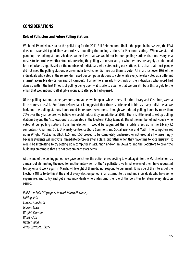# **CONSIDERATIONS**

#### **Role of Pollsitters and Future Polling Stations**

We hired 19 individuals to do the pollsitting for the 2011 Fall Referendum. Unlike the paper ballot system, the EPM does not have strict guidelines and rules surrounding the polling stations for Electronic Voting. When we started planning the polling station schedule, we decided that we would put in more polling stations than necessary as a means to determine whether students are using the polling stations to vote, or whether they are largely an additional form of advertising. Based on the numbers of individuals who voted using our stations, it is clear that most people did not need the polling stations as a reminder to vote, nor did they use them to vote. All in all, just over 10% of the individuals who voted in the referendum used our computer stations to vote, while everyone else voted at a different internet accessible device (on and off campus). Furthermore, nearly two-thirds of the individuals who voted had done so within the first 8 hours of polling being open  $-$  it is safe to assume that we can attribute this largely to the email that we sent out to all eligible voters just after polls had opened.

Of the polling stations, some garnered zero voters while open, while others, like the Library and Clearihue, were a little more successful. For future referenda, it is suggested that there is little need to hire as many pollsitters as we had, and the polling stations hours could be reduced even more. Though we reduced polling hours by more than 70% over the year before, we believe we could reduce it by an additional 50%. There is little need to set up polling stations beyond the "six locations" as stipulated in the Electoral Policy Manual. Based the number of individuals who voted at our polling stations from this election, it would be suggested that a table is set up in the Library (2 computers), Clearihue, SUB, University Centre, Cadboro Commons and Social Sciences and Math. The computers set up in Wright, MacLaurin, Elliot, ECS, and DSB proved to be completely underused or not used at all – assumingly because students will not vote immediate before or after a class, but rather when they have time to vote leisurely. It would be interesting to try setting up a computer in McKinnon and/or Ian Stewart, and the Bookstore to cover the buildings on campus that are not predominantly academic.

At the end of the polling period, we gave pollsitters the option of requesting to work again for the March election, as a means of eliminating the need for another interview. Of the 19 pollsitters we hired, eleven of them have requested to stay on and work again in March, while eight of them did not respond to our email. It may be of the interest of the Elections Office to do this at the end of every election period, in an attempt to try and find individuals who have some experience, and to try and get a few individuals who understand the role of the pollsitter to return every election period.

Pollsitters Laid Off (request to work March Elections): Lofting, Erin Chwist, Anastasia Gibson, Erica Wright, Keirnan Ward, Chris Hunter, Julia Arias-Carrasco, Hilary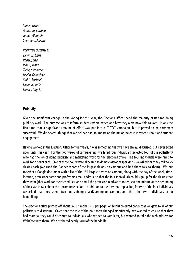Sands, Taylor Anderson, Carmen James, Alannah Stermann, Juliana

Pollsitters Dismissed: Zielonka, Chris Rogers, Lisa Pybus, Jenna Tiede, Stephanie Neelin, Genevieve Smith, Michael Liebault, Katie Lorenz, Angela

#### **Publicity**

Given the significant change in the voting for this year, the Elections Office spend the majority of its time doing publicity work. The purpose was to inform students where, when and how they were now able to vote. It was the first time that a significant amount of effort was put into a "GOTV" campaign, but it proved to be extremely successful. We did several things that we believe had an impact on the major increase in voter turnout and student engagement.

Having worked in the Elections Office for four years, it was something that we have always discussed, but never acted upon until this year. For the two weeks of campaigning, we hired four individuals (selected four of our pollsitters) who had the job of doing publicity and marketing work for the elections office. The four individuals were hired to work for 7 hours each. Five of those hours were allocated to doing classroom speaking - we asked that they talk to 25 classes each (we used the Banner report of the largest classes on campus and had them talk to them). We put together a Google document with a list of the 150 largest classes on campus, along with the day of the week, time, location, professors name and professors email address, so that the four individuals could sign up for the classes that they want (that work for their schedule), and email the professor in advance to request one minute at the beginning of the class to talk about the upcoming election. In addition to the classroom speaking, for two of the four individuals we asked that they spend two hours doing chalkBoarding on campus, and the other two individuals to do handbilling.

The elections office printed off about 3600 handbills (12 per page) on bright coloured paper that we gave to all of our pollsitters to distribute. Given that the role of the pollsitters changed significantly, we wanted to ensure that they had material they could distribute to individuals who wished to vote later, but wanted to take the web address for WebVote with them. We distributed nearly 3400 of the handbills.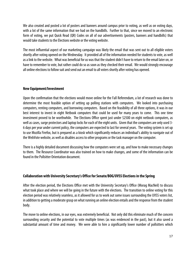We also created and posted a lot of posters and banners around campus prior to voting, as well as on voting days, with a lot of the same information that we had on the handbills. Further to that, since we moved to an electronic form of voting, we put Quick Read (QR) Codes on all of our advertisements (posters, banners and handbills) that would take students to the Elections website or the voting website.

The most influential aspect of our marketing campaign was likely the email that was sent out to all eligible voters shortly after voting opened on the Wednesday. It provided all of the information needed for students to vote, as well as a link to the website. What was beneficial for us was that the student didn't have to return to the email later on, or have to remember to vote, but rather could do so as soon as they checked their email. We would strongly encourage all online elections to follow suit and send out an email to all voters shortly after voting has opened.

#### **New Equipment/Investment**

Upon the confirmation that the elections would move online for the Fall Referendum, a lot of research was done to determine the most feasible option of setting up polling stations with computers. We looked into purchasing computers, renting computers, and borrowing computers. Based on the feasibility of all three options, it was in our best interest to invest in eight Netbook computers that could be used for many years to come. This one time investment proved to be worthwhile. The Elections Office spent just under \$2500 on eight netbook computers, as well as cases, surge protectors and laptop locks for each of the eight units. Given that the computers are only used 3- 6 days per year under current policy, the computers are expected to last for several years. The voting system is set up to use Mozilla Firefox, but is prepared as a kiosk which significantly reduces an individual's ability to navigate out of the WebVote website, as well as disables access to other programs or the task manager on the computer.

There is a highly detailed document discussing how the computers were set up, and how to make necessary changes to them. The Resource Coordinator was also trained on how to make changes, and some of the information can be found in the Pollsitter Orientation document.

#### **Collaboration with University Secretary's Office for Senate/BOG/UVSS Elections in the Spring**

After the election period, the Elections Office met with the University Secretary's Office (Morag MacNeil) to discuss what took place and where we will be going in the future with the elections. The transition to online voting for this election period was relatively seamless, as it allowed for us to work out some issues surrounding the UVSS voters list, in addition to getting a moderate grasp on what running an online election entails and the response from the student body.

The move to online elections, in our eyes, was extremely beneficial. Not only did this eliminate much of the concern surrounding security and the potential to vote multiple times (as was evidenced in the past), but it also saved a substantial amount of time and money. We were able to hire a significantly lower number of pollsitters which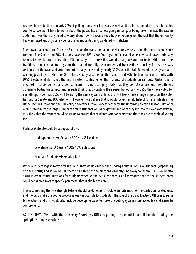resulted in a reduction of nearly 70% of polling hours over last year, as well as the elimination of the need for ballot counters. We didn't have to worry about the possibility of ballots going missing, or being taken (as was the case in 2009), nor was there any need to worry about how we would keep track of voters given the fact that the university has eliminated any physical evidence of student cards being validated with stickers.

There two major concerns from the Board upon the transition to online elections were surrounding security and voter turnout. The Senate and BOG elections have used UVic's WebVote system for several years now, and have continually reported voter turnout at less than 5% annually. Of course this would be a grave concern to transition from the traditional paper ballot to a system that has historically been underused for elections. Luckily for us, this was certainly not the case, and voter turnout actually increased by nearly 300% over the Fall Referendum last year. As it was suggested by the Elections Office for several years, the fact that Senate and BOG elections run concurrently with UVSS Elections likely makes the entire system confusing for the majority of students on campus. Unless one is involved in school politics or knows someone who is, it is highly likely that they do not comprehend the different governing bodies on campus and as such think that by casting their paper ballot for the UVSS they have voted for everything. Now that UVSS will be using the same system online, this will likely have a huge impact on the voter turnout for Senate and BOG elections. However, we believe that it would be extremely helpful for all students if the UVSS Elections Office and the University Secretary's Office work together for the upcoming election season. Not only would it minimize the large number of emails students would be getting, but once they log into the WebVote system, it is likely that the system could be set up to ensure that students vote for everything that they are capable of voting for.

Perhaps WebVote could be set up as follows

Undergraduates  $\rightarrow$  Senate / BOG / UVSS Elections Law Students  $\rightarrow$  Senate / BOG / UVSS Elections Graduate Students  $\rightarrow$  Senate / BOG

When a student logs in to vote for the UVSS, they would click on the "Undergraduates" or "Law Students" (depending on their status) and it would link them to all three of the elections currently underway for them. This would also assist in email communications for students when voting actually opens, as all messages sent to the student body could be tailored to each specific parameter that is eligible to vote.

This is something that we strongly believe should be done, as it would eliminate much of the confusion for students, and it would make the voting process as easy as possible for students. The role of the UVSS Elections Office is to run a fair election, and this would also include developing ways to make the voting system more accessible and easier to comprehend.

ACTION ITEMS: Meet with the University Secretary's Office regarding the potential for collaboration during the springtime campus elections.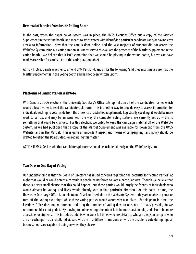#### **Removal of Martlet from Inside Polling Booth**

In the past, when the paper ballot system was in place, the UVSS Elections Office put a copy of the Martlet Supplement in the voting booth, as a means to assist voters with identifying particular candidates and/or having easy access to information. Now that the vote is done online, and the vast majority of students did not access the WebVote System using our voting station, it is necessary to re-evaluate the presence of the Martlet Supplement in the voting booth. We believe that it isn't something that we should be placing in the voting booth, but we can have readily accessible for voters (i.e.: at the voting station table).

ACTION ITEMS: Decide whether to amend EPM Part I:1:d. and strike the following 'and they must make sure that the Martlet supplement is in the voting booth and has not been written upon'.

#### **Platforms of Candidates on WebVote**

With Senate at BOG elections, the University Secretary's Office sets up links on all of the candidate's names which would allow a voter to read the candidate's platform. This is another way to provide easy to access information for individuals wishing to vote, aside from the presence of a Martlet Supplement. Logistically speaking, it would be more work to set up, and may be an issue with the way the computer voting stations are currently set up  $-$  this is something that could be changed. For this election, we opted to keep the campaign material off of the WebVote System, as we had publicized that a copy of the Martlet Supplement was available for download from the UVSS Website, and in The Martlet. This is quite an important aspect and means of campaigning, and policy should be drafted to reflect the Board's decision regarding this matter.

ACTION ITEMS: Decide whether candidate's platforms should be included directly on the WebVote System.

#### **Two Days or One Day of Voting**

Our understanding is that the Board of Directors has raised concerns regarding the potential for "Voting Parties" at night that would or could potentially result in people being forced to vote a particular way. Though we believe that there is a very small chance that this could happen, but these parties would largely be friends of individuals who would already be voting, and likely would already vote in that particular direction. At this point in time, the University Secretary's Office is unable to put "blackout" periods on the WebVote System – they are unable to pause or turn off the voting over night while these voting parties would assumedly take place. At this point in time, the Elections Office does not recommend reducing the number of voting days to one, nor if it was possible, do we recommend black out period. By moving to online voting, the intent is to be more sustainable, and also to be more accessible for students. This includes students who work full time, who are distance, who are away on co-op or who are on exchange – as a result, individuals who are in a different time zone or who are unable to vote during regular business hours are capable of doing so when they please.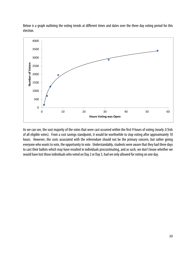

Below is a graph outlining the voting trends at different times and dates over the three day voting period for this election.

As we can see, the vast majority of the votes that were cast occurred within the first 9 hours of voting (nearly 2/3rds of all eligible votes). From a cost savings standpoint, it would be worthwhile to stop voting after approximately 10 hours. However, the costs associated with the referendum should not be the primary concern, but rather giving everyone who wants to vote, the opportunity to vote. Understandably, students were aware that they had three days to cast their ballots which may have resulted in individuals procrastinating, and as such, we don't know whether we would have lost those individuals who voted on Day 2 or Day 3, had we only allowed for voting on one day.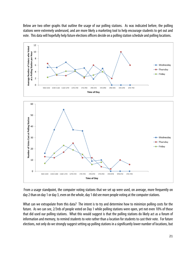Below are two other graphs that outline the usage of our polling stations. As was indicated before, the polling stations were extremely underused, and are more likely a marketing tool to help encourage students to get out and vote. This data will hopefully help future elections officers decide on a polling station schedule and polling locations.





 From a usage standpoint, the computer voting stations that we set up were used, on average, more frequently on day 2 than on day 1 or day 3, even on the whole, day 1 did see more people voting at the computer stations.

What can we extrapolate from this data? The intent is to try and determine how to minimize polling costs for the future. As we can see, 2/3rds of people voted on Day 1 while polling stations were open, yet not even 10% of those that did used our polling stations. What this would suggest is that the polling stations do likely act as a forum of information and memory, to remind students to vote rather than a location for students to cast their vote. For future elections, not only do we strongly suggest setting up polling stations in a significantly lower number of locations, but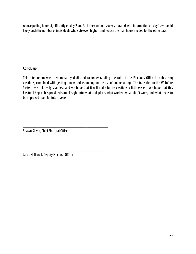reduce polling hours significantly on day 2 and 3. If the campus is over saturated with information on day 1, we could likely push the number of individuals who vote even higher, and reduce the man hours needed for the other days.

#### **Conclusion**

This referendum was predominantly dedicated to understanding the role of the Elections Office in publicizing elections, combined with getting a new understanding on the use of online voting. The transition to the WebVote System was relatively seamless and we hope that it will make future elections a little easier. We hope that this Electoral Report has provided some insight into what took place, what worked, what didn't work, and what needs to be improved upon for future years.

\_\_\_\_\_\_\_\_\_\_\_\_\_\_\_\_\_\_\_\_\_\_\_\_\_\_\_\_\_\_\_\_\_\_\_\_\_\_\_\_\_ Shawn Slavin, Chief Electoral Officer

Jacob Helliwell, Deputy Electoral Officer

\_\_\_\_\_\_\_\_\_\_\_\_\_\_\_\_\_\_\_\_\_\_\_\_\_\_\_\_\_\_\_\_\_\_\_\_\_\_\_\_\_